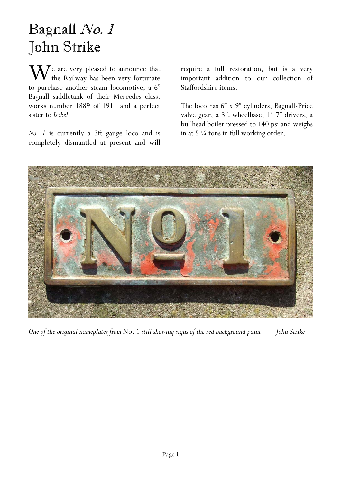## Bagnall No. 1 John Strike

 $\mathbf{W}$  e are very pleased to announce that<br>to purchase another steam logarities a  $\mathcal{C}$ the Railway has been very fortunate to purchase another steam locomotive, a 6" Bagnall saddletank of their Mercedes class, works number 1889 of 1911 and a perfect sister to *Isabel*.

*No. 1* is currently a 3ft gauge loco and is completely dismantled at present and will require a full restoration, but is a very important addition to our collection of Staffordshire items.

The loco has 6" x 9" cylinders, Bagnall-Price valve gear, a 3ft wheelbase, 1' 7" drivers, a bullhead boiler pressed to 140 psi and weighs in at 5 ¼ tons in full working order.



*One of the original nameplates from* No. 1 *still showing signs of the red background paint John Strike*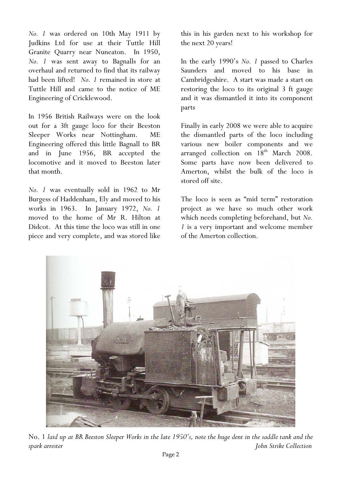*No. 1* was ordered on 10th May 1911 by Judkins Ltd for use at their Tuttle Hill Granite Quarry near Nuneaton. In 1950, *No. 1* was sent away to Bagnalls for an overhaul and returned to find that its railway had been lifted! *No. 1* remained in store at Tuttle Hill and came to the notice of ME Engineering of Cricklewood.

In 1956 British Railways were on the look out for a 3ft gauge loco for their Beeston Sleeper Works near Nottingham. ME Engineering offered this little Bagnall to BR and in June 1956, BR accepted the locomotive and it moved to Beeston later that month.

*No. 1* was eventually sold in 1962 to Mr Burgess of Haddenham, Ely and moved to his works in 1963. In January 1972, *No. 1* moved to the home of Mr R. Hilton at Didcot. At this time the loco was still in one piece and very complete, and was stored like this in his garden next to his workshop for the next 20 years!

In the early 1990's *No. 1* passed to Charles Saunders and moved to his base in Cambridgeshire. A start was made a start on restoring the loco to its original 3 ft gauge and it was dismantled it into its component parts

Finally in early 2008 we were able to acquire the dismantled parts of the loco including various new boiler components and we arranged collection on 18<sup>th</sup> March 2008. Some parts have now been delivered to Amerton, whilst the bulk of the loco is stored off site.

The loco is seen as "mid term" restoration project as we have so much other work which needs completing beforehand, but *No. 1* is a very important and welcome member of the Amerton collection.



No. 1 *laid up at BR Beeston Sleeper Works in the late 1950's, note the huge dent in the saddle tank and the spark arrester John Strike Collection*